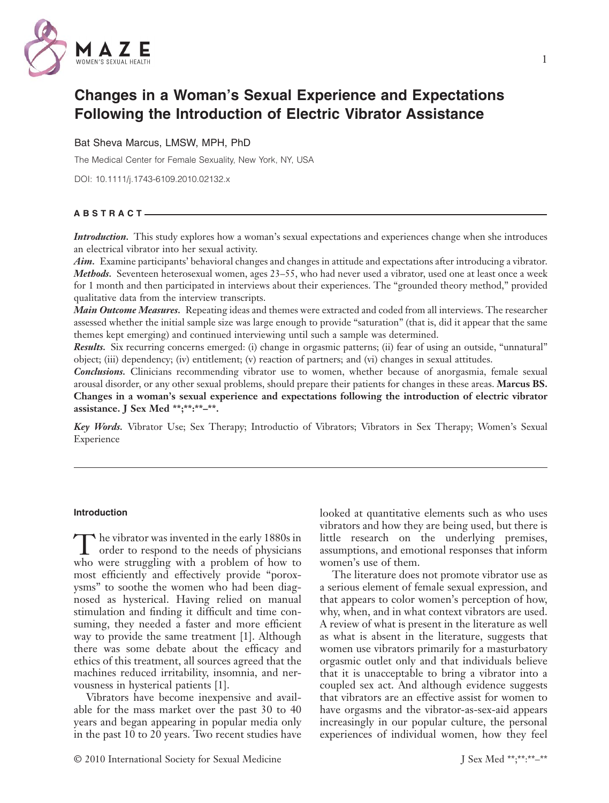

# **Changes in a Woman's Sexual Experience and Expectations Following the Introduction of Electric Vibrator Assistance**

## [Bat Sheva Marcus, LMSW, MPH, PhD](http://www.centerforfemalesexuality.com/AboutTheStaff.html)

[The Medical Center for Female Sexuality, New York, NY, USA](http://www.centerforfemalesexuality.com)

DOI: 10.1111/j.1743-6109.2010.02132.x

## **ABSTRACT**

*Introduction.* This study explores how a woman's sexual expectations and experiences change when she introduces an electrical vibrator into her sexual activity.

*Aim.* Examine participants' behavioral changes and changes in attitude and expectations after introducing a vibrator. *Methods.* Seventeen heterosexual women, ages 23–55, who had never used a vibrator, used one at least once a week for 1 month and then participated in interviews about their experiences. The "grounded theory method," provided qualitative data from the interview transcripts.

*Main Outcome Measures.* Repeating ideas and themes were extracted and coded from all interviews. The researcher assessed whether the initial sample size was large enough to provide "saturation" (that is, did it appear that the same themes kept emerging) and continued interviewing until such a sample was determined.

*Results.* Six recurring concerns emerged: (i) change in orgasmic patterns; (ii) fear of using an outside, "unnatural" object; (iii) dependency; (iv) entitlement; (v) reaction of partners; and (vi) changes in sexual attitudes.

*Conclusions.* Clinicians recommending vibrator use to women, whether because of anorgasmia, female sexual arousal disorder, or any other sexual problems, should prepare their patients for changes in these areas. **Marcus BS. Changes in a woman's sexual experience and expectations following the introduction of electric vibrator assistance. J Sex Med \*\*;\*\*:\*\*–\*\*.**

*Key Words.* Vibrator Use; [Sex Therapy;](http://www.centerforfemalesexuality.com/sex-therapy.html) Introductio of [Vibrators](http://vibrators-etc.centerforfemalesexuality.com/collections/vibrators); Vibrators in Sex Therapy; Women's Sexual Experience

## **Introduction**

The vibrator was invented in the early 1880s in<br>
order to respond to the needs of physicians<br>
who were struggling with a manblem of how to who were struggling with a problem of how to most efficiently and effectively provide "poroxysms" to soothe the women who had been diagnosed as hysterical. Having relied on manual stimulation and finding it difficult and time consuming, they needed a faster and more efficient way to provide the same treatment [1]. Although there was some debate about the efficacy and ethics of this treatment, all sources agreed that the machines reduced irritability, insomnia, and nervousness in hysterical patients [1].

Vibrators have become inexpensive and available for the mass market over the past 30 to 40 years and began appearing in popular media only in the past 10 to 20 years. Two recent studies have

looked at quantitative elements such as who uses vibrators and how they are being used, but there is little research on the underlying premises, assumptions, and emotional responses that inform women's use of them.

The literature does not promote vibrator use as a serious element of female sexual expression, and that appears to color women's perception of how, why, when, and in what context vibrators are used. A review of what is present in the literature as well as what is absent in the literature, suggests that women use vibrators primarily for a masturbatory orgasmic outlet only and that individuals believe that it is unacceptable to bring a vibrator into a coupled sex act. And although evidence suggests that vibrators are an effective assist for women to have [orgasms](http://www.centerforfemalesexuality.com/orgasm.htm) and the vibrator-as-sex-aid appears increasingly in our popular culture, the personal experiences of individual women, how they feel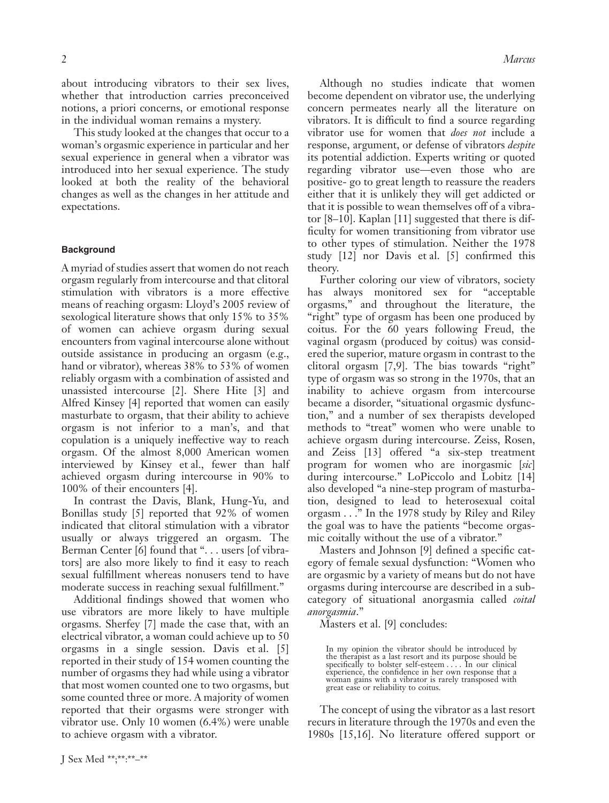about introducing vibrators to their sex lives, whether that introduction carries preconceived notions, a priori concerns, or emotional response in the individual woman remains a mystery.

This study looked at the changes that occur to a woman's orgasmic experience in particular and her sexual experience in general when a vibrator was introduced into her sexual experience. The study looked at both the reality of the behavioral changes as well as the changes in her attitude and expectations.

#### **Background**

[A myriad of studies assert that women do not reach](http://www.centerforfemalesexuality.com/orgasm-from-intercourse.html) orgasm regularly from intercourse and that clitoral stimulation with vibrators is a more effective means of reaching orgasm: Lloyd's 2005 review of sexological literature shows that only 15% to 35% of women can achieve orgasm during sexual encounters from vaginal intercourse alone without outside assistance in producing an orgasm (e.g., hand or vibrator), whereas 38% to 53% of women reliably orgasm with a combination of assisted and unassisted intercourse [2]. Shere Hite [3] and Alfred Kinsey [4] reported that women can easily masturbate to orgasm, that their ability to achieve orgasm is not inferior to a man's, and that copulation is a uniquely ineffective way to reach orgasm. Of the almost 8,000 American women interviewed by Kinsey et al., fewer than half achieved orgasm during intercourse in 90% to 100% of their encounters [4].

In contrast the Davis, Blank, Hung-Yu, and Bonillas study [5] reported that 92% of women indicated that clitoral stimulation with a vibrator usually or always triggered an orgasm. The Berman Center [6] found that "... users [of vibrators] are also more likely to find it easy to reach sexual fulfillment whereas nonusers tend to have moderate success in reaching sexual fulfillment."

Additional findings showed that women who use [vibrators](http://vibrators-etc.centerforfemalesexuality.com/collections/vibrators) are more likely to have multiple orgasms. Sherfey [7] made the case that, with an electrical vibrator, a woman could achieve up to 50 orgasms in a single session. Davis et al. [5] reported in their study of 154 women counting the number of orgasms they had while using a vibrator that most women counted one to two orgasms, but some counted three or more. A majority of women reported that their orgasms were stronger with vibrator use. Only 10 women (6.4%) were unable to achieve orgasm with a vibrator.

Although no studies indicate that women become dependent on vibrator use, the underlying concern permeates nearly all the literature on vibrators. It is difficult to find a source regarding vibrator use for women that *does not* include a response, argument, or defense of vibrators *despite* its potential addiction. Experts writing or quoted regarding vibrator use—even those who are positive- go to great length to reassure the readers either that it is unlikely they will get addicted or that it is possible to wean themselves off of a vibrator [8–10]. Kaplan [11] suggested that there is difficulty for women transitioning from vibrator use to other types of stimulation. Neither the 1978 study [12] nor Davis et al. [5] confirmed this theory.

Further coloring our view of vibrators, society has always monitored sex for "acceptable orgasms," and throughout the literature, the "right" type of orgasm has been one produced by coitus. For the 60 years following Freud, the vaginal orgasm (produced by coitus) was considered the superior, mature orgasm in contrast to the clitoral orgasm [7,9]. The bias towards "right" type of orgasm was so strong in the 1970s, that an inability to achieve orgasm from intercourse became a disorder, "situational orgasmic dysfunction," and a number of [sex therapists](http://www.centerforfemalesexuality.com/sex-therapist.html) developed methods to "treat" women who were unable to achieve orgasm during intercourse. Zeiss, Rosen, and Zeiss [13] offered "a six-step treatment program for women who are inorgasmic [*sic*] during intercourse." LoPiccolo and Lobitz [14] also developed "a nine-step program of masturbation, designed to lead to heterosexual coital orgasm . . ." In the 1978 study by Riley and Riley the goal was to have the patients "become orgasmic coitally without the use of a vibrator."

Masters and Johnson [9] defined a specific category of [female sexual dysfunction:](http://www.centerforfemalesexuality.com/aboutfs.html) "Women who are orgasmic by a variety of means but do not have orgasms during intercourse are described in a subcategory of situational anorgasmia called *coital anorgasmia*."

Masters et al. [9] concludes:

In my opinion the vibrator should be introduced by the therapist as a last resort and its purpose should be specifically to bolster self-esteem . . . . In our clinical experience, the confidence in her own response that a woman gains with a vibrator is rarely transposed with great ease or reliability to coitus.

The concept of using the vibrator as a last resort recurs in literature through the 1970s and even the 1980s [15,16]. No literature offered support or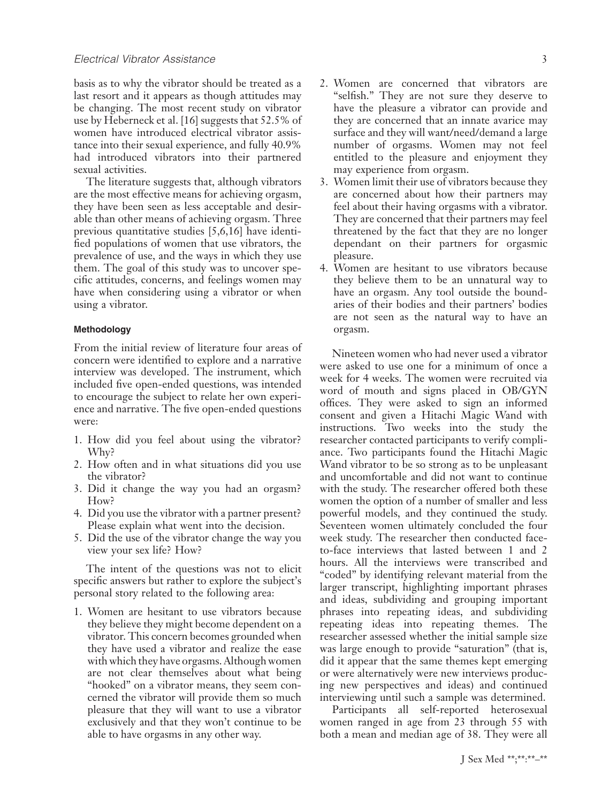basis as to why the vibrator should be treated as a last resort and it appears as though attitudes may be changing. The most recent study on vibrator use by Heberneck et al. [16] suggests that 52.5% of women have introduced electrical vibrator assistance into their sexual experience, and fully 40.9% had introduced vibrators into their partnered sexual activities.

The literature suggests that, although vibrators are the most effective means for achieving orgasm, they have been seen as less acceptable and desirable than other means of achieving orgasm. Three previous quantitative studies [5,6,16] have identified populations of women that use vibrators, the prevalence of use, and the ways in which they use them. The goal of this study was to uncover specific attitudes, concerns, and feelings women may have when considering using a vibrator or when using a vibrator.

## **Methodology**

From the initial review of literature four areas of concern were identified to explore and a narrative interview was developed. The instrument, which included five open-ended questions, was intended to encourage the subject to relate her own experience and narrative. The five open-ended questions were:

- 1. How did you feel about using the vibrator? Why?
- 2. How often and in what situations did you use the vibrator?
- 3. Did it change the way you had an orgasm? How?
- 4. Did you use the vibrator with a partner present? Please explain what went into the decision.
- 5. Did the use of the vibrator change the way you view your sex life? How?

The intent of the questions was not to elicit specific answers but rather to explore the subject's personal story related to the following area:

1. Women are hesitant to use vibrators because they believe they might become dependent on a vibrator. This concern becomes grounded when they have used a vibrator and realize the ease with which they have orgasms. Although women are not clear themselves about what being "hooked" on a vibrator means, they seem concerned the vibrator will provide them so much pleasure that they will want to use a vibrator exclusively and that they won't continue to be able to have orgasms in any other way.

- 2. Women are concerned that vibrators are "selfish." They are not sure they deserve to have the pleasure a vibrator can provide and they are concerned that an innate avarice may surface and they will want/need/demand a large number of orgasms. Women may not feel entitled to the pleasure and enjoyment they may experience from orgasm.
- 3. Women limit their use of vibrators because they are concerned about how their partners may feel about their having orgasms with a vibrator. They are concerned that their partners may feel threatened by the fact that they are no longer dependant on their partners for orgasmic pleasure.
- 4. Women are hesitant to use vibrators because they believe them to be an unnatural way to have an orgasm. Any tool outside the boundaries of their bodies and their partners' bodies are not seen as the natural way to have an orgasm.

Nineteen women who had never used a vibrator were asked to use one for a minimum of once a week for 4 weeks. The women were recruited via word of mouth and signs placed in OB/GYN offices. They were asked to sign an informed consent and given a Hitachi Magic Wand with instructions. Two weeks into the study the researcher contacted participants to verify compliance. Two participants found the Hitachi Magic Wand vibrator to be so strong as to be unpleasant and uncomfortable and did not want to continue with the study. The researcher offered both these women the option of a number of smaller and less powerful models, and they continued the study. Seventeen women ultimately concluded the four week study. The researcher then conducted faceto-face interviews that lasted between 1 and 2 hours. All the interviews were transcribed and "coded" by identifying relevant material from the larger transcript, highlighting important phrases and ideas, subdividing and grouping important phrases into repeating ideas, and subdividing repeating ideas into repeating themes. The researcher assessed whether the initial sample size was large enough to provide "saturation" (that is, did it appear that the same themes kept emerging or were alternatively were new interviews producing new perspectives and ideas) and continued interviewing until such a sample was determined.

Participants all self-reported heterosexual women ranged in age from 23 through 55 with both a mean and median age of 38. They were all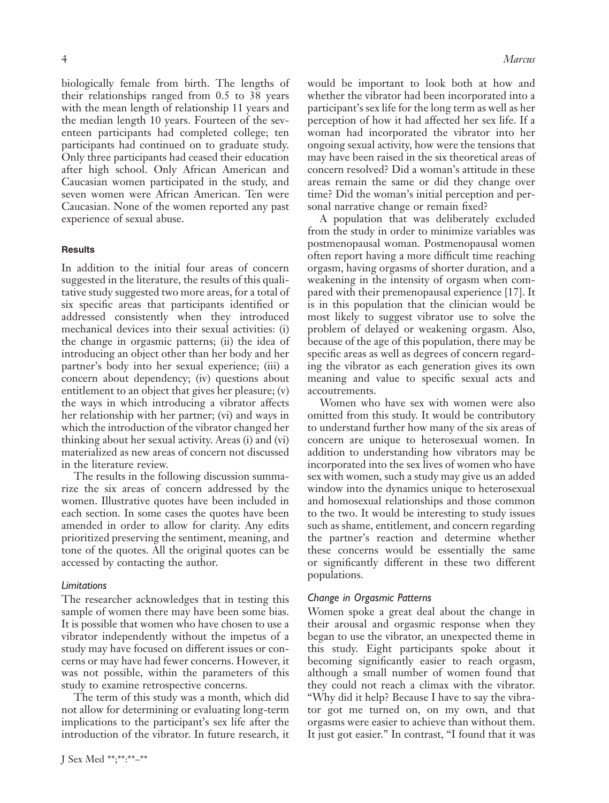biologically female from birth. The lengths of their relationships ranged from 0.5 to 38 years with the mean length of relationship 11 years and the median length 10 years. Fourteen of the seventeen participants had completed college; ten participants had continued on to graduate study. Only three participants had ceased their education after high school. Only African American and Caucasian women participated in the study, and seven women were African American. Ten were Caucasian. None of the women reported any past experience of sexual abuse.

#### **Results**

In addition to the initial four areas of concern suggested in the literature, the results of this qualitative study suggested two more areas, for a total of six specific areas that participants identified or addressed consistently when they introduced mechanical devices into their sexual activities: (i) the change in orgasmic patterns; (ii) the idea of introducing an object other than her body and her partner's body into her sexual experience; (iii) a concern about dependency; (iv) questions about entitlement to an object that gives her pleasure; (v) the ways in which introducing a vibrator affects her relationship with her partner; (vi) and ways in which the introduction of the vibrator changed her thinking about her sexual activity. Areas (i) and (vi) materialized as new areas of concern not discussed in the literature review.

The results in the following discussion summarize the six areas of concern addressed by the women. Illustrative quotes have been included in each section. In some cases the quotes have been amended in order to allow for clarity. Any edits prioritized preserving the sentiment, meaning, and tone of the quotes. All the original quotes can be accessed by contacting the author.

## *Limitations*

The researcher acknowledges that in testing this sample of women there may have been some bias. It is possible that women who have chosen to use a vibrator independently without the impetus of a study may have focused on different issues or concerns or may have had fewer concerns. However, it was not possible, within the parameters of this study to examine retrospective concerns.

The term of this study was a month, which did not allow for determining or evaluating long-term implications to the participant's sex life after the introduction of the vibrator. In future research, it would be important to look both at how and whether the vibrator had been incorporated into a participant's sex life for the long term as well as her perception of how it had affected her sex life. If a woman had incorporated the vibrator into her ongoing sexual activity, how were the tensions that may have been raised in the six theoretical areas of concern resolved? Did a woman's attitude in these areas remain the same or did they change over time? Did the woman's initial perception and personal narrative change or remain fixed?

A population that was deliberately excluded from the study in order to minimize variables was postmenopausal woman. Postmenopausal women often report having a more difficult time reaching orgasm, having orgasms of shorter duration, and a weakening in the intensity of orgasm when compared with their premenopausal experience [17]. It is in this population that the clinician would be most likely to suggest vibrator use to solve the problem of delayed or weakening orgasm. Also, because of the age of this population, there may be specific areas as well as degrees of concern regarding the vibrator as each generation gives its own meaning and value to specific sexual acts and accoutrements.

Women who have sex with women were also omitted from this study. It would be contributory to understand further how many of the six areas of concern are unique to heterosexual women. In addition to understanding how vibrators may be incorporated into the sex lives of women who have sex with women, such a study may give us an added window into the dynamics unique to heterosexual and homosexual relationships and those common to the two. It would be interesting to study issues such as shame, entitlement, and concern regarding the partner's reaction and determine whether these concerns would be essentially the same or significantly different in these two different populations.

#### *Change in Orgasmic Patterns*

Women spoke a great deal about the change in their arousal and orgasmic response when they began to use the vibrator, an unexpected theme in this study. Eight participants spoke about it becoming significantly easier to reach orgasm, although a small number of women found that they could not reach a climax with the vibrator. "Why did it help? Because I have to say the vibrator got me turned on, on my own, and that orgasms were easier to achieve than without them. It just got easier." In contrast, "I found that it was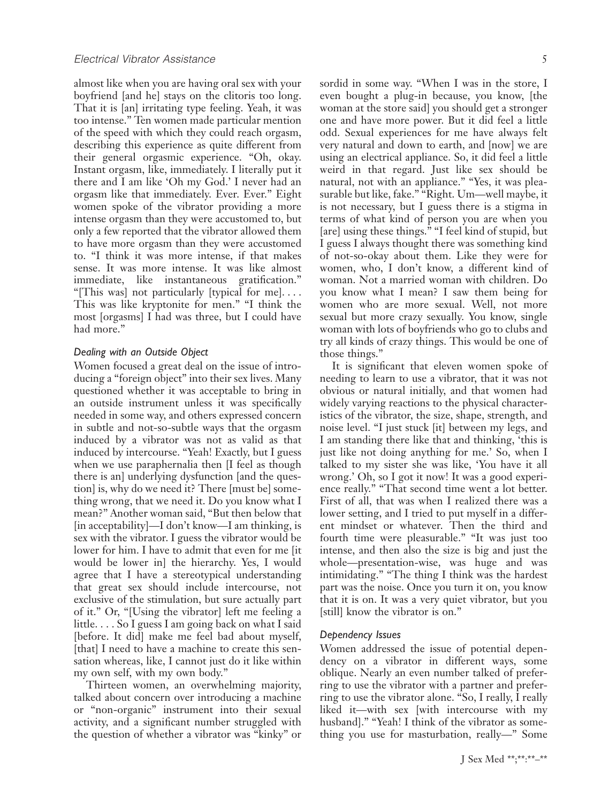almost like when you are having oral sex with your boyfriend [and he] stays on the clitoris too long. That it is [an] irritating type feeling. Yeah, it was too intense." Ten women made particular mention of the speed with which they could reach orgasm, describing this experience as quite different from their general orgasmic experience. "Oh, okay. Instant orgasm, like, immediately. I literally put it there and I am like 'Oh my God.' I never had an orgasm like that immediately. Ever. Ever." Eight women spoke of the vibrator providing a more intense orgasm than they were accustomed to, but only a few reported that the vibrator allowed them to have more orgasm than they were accustomed to. "I think it was more intense, if that makes sense. It was more intense. It was like almost immediate, like instantaneous gratification." "[This was] not particularly [typical for me].... This was like kryptonite for men." "I think the most [orgasms] I had was three, but I could have had more."

## *Dealing with an Outside Object*

Women focused a great deal on the issue of introducing a "foreign object" into their sex lives. Many questioned whether it was acceptable to bring in an outside instrument unless it was specifically needed in some way, and others expressed concern in subtle and not-so-subtle ways that the orgasm induced by a vibrator was not as valid as that induced by intercourse. "Yeah! Exactly, but I guess when we use paraphernalia then [I feel as though there is an] underlying dysfunction [and the question] is, why do we need it? There [must be] something wrong, that we need it. Do you know what I mean?" Another woman said, "But then below that [in acceptability]—I don't know—I am thinking, is sex with the vibrator. I guess the vibrator would be lower for him. I have to admit that even for me [it would be lower in] the hierarchy. Yes, I would agree that I have a stereotypical understanding that great sex should include intercourse, not exclusive of the stimulation, but sure actually part of it." Or, "[Using the vibrator] left me feeling a little. . . . So I guess I am going back on what I said [before. It did] make me feel bad about myself, [that] I need to have a machine to create this sensation whereas, like, I cannot just do it like within my own self, with my own body."

Thirteen women, an overwhelming majority, talked about concern over introducing a machine or "non-organic" instrument into their sexual activity, and a significant number struggled with the question of whether a vibrator was "kinky" or

sordid in some way. "When I was in the store, I even bought a plug-in because, you know, [the woman at the store said] you should get a stronger one and have more power. But it did feel a little odd. Sexual experiences for me have always felt very natural and down to earth, and [now] we are using an electrical appliance. So, it did feel a little weird in that regard. Just like sex should be natural, not with an appliance." "Yes, it was pleasurable but like, fake." "Right. Um—well maybe, it is not necessary, but I guess there is a stigma in terms of what kind of person you are when you [are] using these things." "I feel kind of stupid, but I guess I always thought there was something kind of not-so-okay about them. Like they were for women, who, I don't know, a different kind of woman. Not a married woman with children. Do you know what I mean? I saw them being for women who are more sexual. Well, not more sexual but more crazy sexually. You know, single woman with lots of boyfriends who go to clubs and try all kinds of crazy things. This would be one of those things."

It is significant that eleven women spoke of needing to learn to use a vibrator, that it was not obvious or natural initially, and that women had widely varying reactions to the physical characteristics of the vibrator, the size, shape, strength, and noise level. "I just stuck [it] between my legs, and I am standing there like that and thinking, 'this is just like not doing anything for me.' So, when I talked to my sister she was like, 'You have it all wrong.' Oh, so I got it now! It was a good experience really." "That second time went a lot better. First of all, that was when I realized there was a lower setting, and I tried to put myself in a different mindset or whatever. Then the third and fourth time were pleasurable." "It was just too intense, and then also the size is big and just the whole—presentation-wise, was huge and was intimidating." "The thing I think was the hardest part was the noise. Once you turn it on, you know that it is on. It was a very quiet vibrator, but you [still] know the vibrator is on."

## *Dependency Issues*

Women addressed the issue of potential dependency on a vibrator in different ways, some oblique. Nearly an even number talked of preferring to use the vibrator with a partner and preferring to use the vibrator alone. "So, I really, I really liked it—with sex [with intercourse with my husband]." "Yeah! I think of the vibrator as something you use for masturbation, really—" Some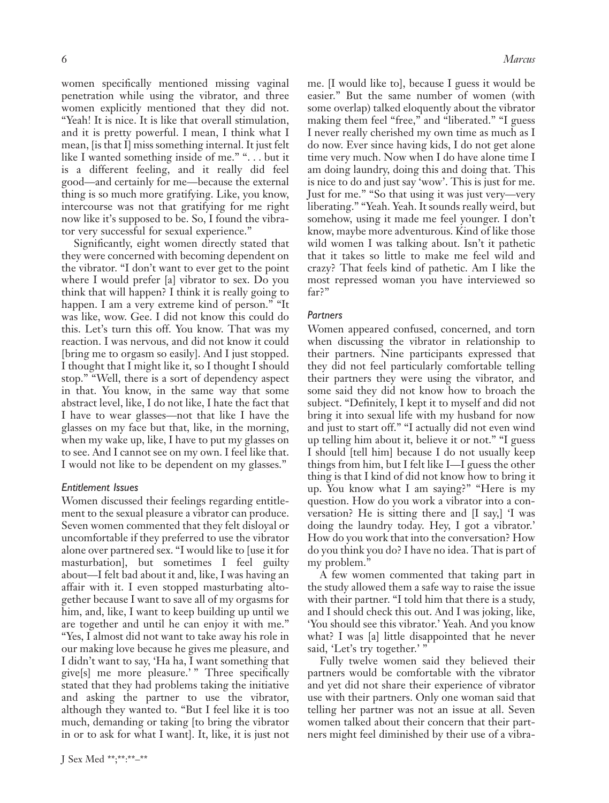women specifically mentioned missing vaginal penetration while using the vibrator, and three women explicitly mentioned that they did not. "Yeah! It is nice. It is like that overall stimulation, and it is pretty powerful. I mean, I think what I mean, [is that I] miss something internal. It just felt like I wanted something inside of me." ". . . but it is a different feeling, and it really did feel good—and certainly for me—because the external thing is so much more gratifying. Like, you know, intercourse was not that gratifying for me right now like it's supposed to be. So, I found the vibrator very successful for sexual experience."

Significantly, eight women directly stated that they were concerned with becoming dependent on the vibrator. "I don't want to ever get to the point where I would prefer [a] vibrator to sex. Do you think that will happen? I think it is really going to happen. I am a very extreme kind of person." "It was like, wow. Gee. I did not know this could do this. Let's turn this off. You know. That was my reaction. I was nervous, and did not know it could [bring me to orgasm so easily]. And I just stopped. I thought that I might like it, so I thought I should stop." "Well, there is a sort of dependency aspect in that. You know, in the same way that some abstract level, like, I do not like, I hate the fact that I have to wear glasses—not that like I have the glasses on my face but that, like, in the morning, when my wake up, like, I have to put my glasses on to see. And I cannot see on my own. I feel like that. I would not like to be dependent on my glasses."

#### *Entitlement Issues*

Women discussed their feelings regarding entitlement to the sexual pleasure a vibrator can produce. Seven women commented that they felt disloyal or uncomfortable if they preferred to use the vibrator alone over partnered sex. "I would like to [use it for masturbation], but sometimes I feel guilty about—I felt bad about it and, like, I was having an affair with it. I even stopped masturbating altogether because I want to save all of my orgasms for him, and, like, I want to keep building up until we are together and until he can enjoy it with me." "Yes, I almost did not want to take away his role in our making love because he gives me pleasure, and I didn't want to say, 'Ha ha, I want something that give[s] me more pleasure.' " Three specifically stated that they had problems taking the initiative and asking the partner to use the vibrator, although they wanted to. "But I feel like it is too much, demanding or taking [to bring the vibrator in or to ask for what I want]. It, like, it is just not

me. [I would like to], because I guess it would be easier." But the same number of women (with some overlap) talked eloquently about the vibrator making them feel "free," and "liberated." "I guess I never really cherished my own time as much as I do now. Ever since having kids, I do not get alone time very much. Now when I do have alone time I am doing laundry, doing this and doing that. This is nice to do and just say 'wow'. This is just for me. Just for me." "So that using it was just very—very liberating." "Yeah. Yeah. It sounds really weird, but somehow, using it made me feel younger. I don't know, maybe more adventurous. Kind of like those wild women I was talking about. Isn't it pathetic that it takes so little to make me feel wild and crazy? That feels kind of pathetic. Am I like the most repressed woman you have interviewed so far?"

#### *Partners*

Women appeared confused, concerned, and torn when discussing the vibrator in relationship to their partners. Nine participants expressed that they did not feel particularly comfortable telling their partners they were using the vibrator, and some said they did not know how to broach the subject. "Definitely, I kept it to myself and did not bring it into sexual life with my husband for now and just to start off." "I actually did not even wind up telling him about it, believe it or not." "I guess I should [tell him] because I do not usually keep things from him, but I felt like I—I guess the other thing is that I kind of did not know how to bring it up. You know what I am saying?" "Here is my question. How do you work a vibrator into a conversation? He is sitting there and [I say,] 'I was doing the laundry today. Hey, I got a vibrator.' How do you work that into the conversation? How do you think you do? I have no idea. That is part of my problem."

A few women commented that taking part in the study allowed them a safe way to raise the issue with their partner. "I told him that there is a study, and I should check this out. And I was joking, like, 'You should see this vibrator.' Yeah. And you know what? I was [a] little disappointed that he never said, 'Let's try together.' "

Fully twelve women said they believed their partners would be comfortable with the vibrator and yet did not share their experience of vibrator use with their partners. Only one woman said that telling her partner was not an issue at all. Seven women talked about their concern that their partners might feel diminished by their use of a vibra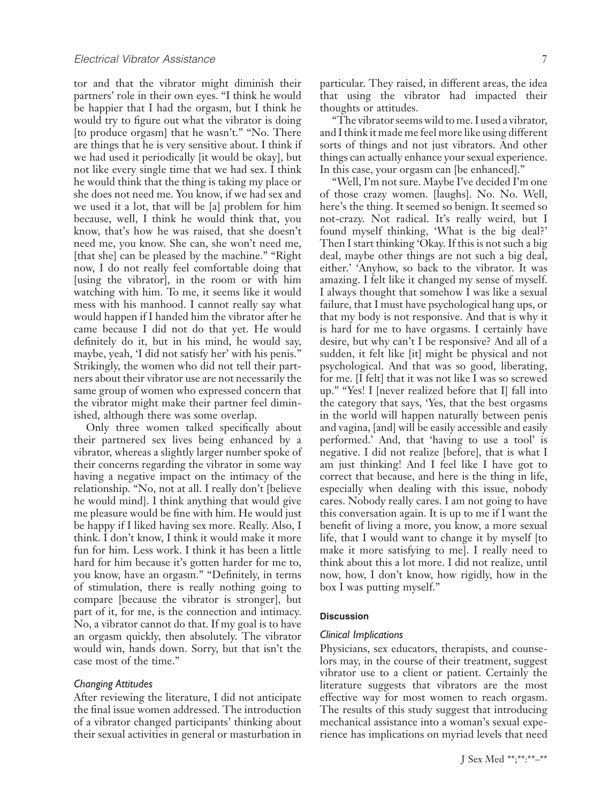tor and that the vibrator might diminish their partners' role in their own eyes. "I think he would be happier that I had the orgasm, but I think he would try to figure out what the vibrator is doing [to produce orgasm] that he wasn't." "No. There are things that he is very sensitive about. I think if we had used it periodically [it would be okay], but not like every single time that we had sex. I think he would think that the thing is taking my place or she does not need me. You know, if we had sex and we used it a lot, that will be [a] problem for him because, well, I think he would think that, you know, that's how he was raised, that she doesn't need me, you know. She can, she won't need me, [that she] can be pleased by the machine." "Right now, I do not really feel comfortable doing that [using the vibrator], in the room or with him watching with him. To me, it seems like it would mess with his manhood. I cannot really say what would happen if I handed him the vibrator after he came because I did not do that yet. He would definitely do it, but in his mind, he would say, maybe, yeah, 'I did not satisfy her' with his penis." Strikingly, the women who did not tell their partners about their vibrator use are not necessarily the same group of women who expressed concern that the vibrator might make their partner feel diminished, although there was some overlap.

Only three women talked specifically about their partnered sex lives being enhanced by a vibrator, whereas a slightly larger number spoke of their concerns regarding the vibrator in some way having a negative impact on the intimacy of the relationship. "No, not at all. I really don't [believe he would mind]. I think anything that would give me pleasure would be fine with him. He would just be happy if I liked having sex more. Really. Also, I think. I don't know, I think it would make it more fun for him. Less work. I think it has been a little hard for him because it's gotten harder for me to, you know, have an orgasm." "Definitely, in terms of stimulation, there is really nothing going to compare [because the vibrator is stronger], but part of it, for me, is the connection and intimacy. No, a vibrator cannot do that. If my goal is to have an orgasm quickly, then absolutely. The vibrator would win, hands down. Sorry, but that isn't the case most of the time."

#### *Changing Attitudes*

After reviewing the literature, I did not anticipate the final issue women addressed. The introduction of a vibrator changed participants' thinking about their sexual activities in general or masturbation in particular. They raised, in different areas, the idea that using the vibrator had impacted their thoughts or attitudes.

"The vibrator seems wild to me. I used a vibrator, and I think it made me feel more like using different sorts of things and not just vibrators. And other things can actually enhance your sexual experience. In this case, your orgasm can [be enhanced]."

"Well, I'm not sure. Maybe I've decided I'm one of those crazy women. [laughs]. No. No. Well, here's the thing. It seemed so benign. It seemed so not-crazy. Not radical. It's really weird, but I found myself thinking, 'What is the big deal?' Then I start thinking 'Okay. If this is not such a big deal, maybe other things are not such a big deal, either.' 'Anyhow, so back to the vibrator. It was amazing. I felt like it changed my sense of myself. I always thought that somehow I was like a sexual failure, that I must have psychological hang ups, or that my body is not responsive. And that is why it is hard for me to have orgasms. I certainly have desire, but why can't I be responsive? And all of a sudden, it felt like [it] might be physical and not psychological. And that was so good, liberating, for me. [I felt] that it was not like I was so screwed up." "Yes! I [never realized before that I] fall into the category that says, 'Yes, that the best orgasms in the world will happen naturally between penis and vagina, [and] will be easily accessible and easily performed.' And, that 'having to use a tool' is negative. I did not realize [before], that is what I am just thinking! And I feel like I have got to correct that because, and here is the thing in life, especially when dealing with this issue, nobody cares. Nobody really cares. I am not going to have this conversation again. It is up to me if I want the benefit of living a more, you know, a more sexual life, that I would want to change it by myself [to make it more satisfying to me]. I really need to think about this a lot more. I did not realize, until now, how, I don't know, how rigidly, how in the box I was putting myself."

## **Discussion**

# *Clinical Implications*

Physicians, sex educators, therapists, and counselors may, in the course of their treatment, suggest vibrator use to a client or patient. Certainly the literature suggests that vibrators are the most effective way for most women to reach orgasm. The results of this study suggest that introducing mechanical assistance into a woman's sexual experience has implications on myriad levels that need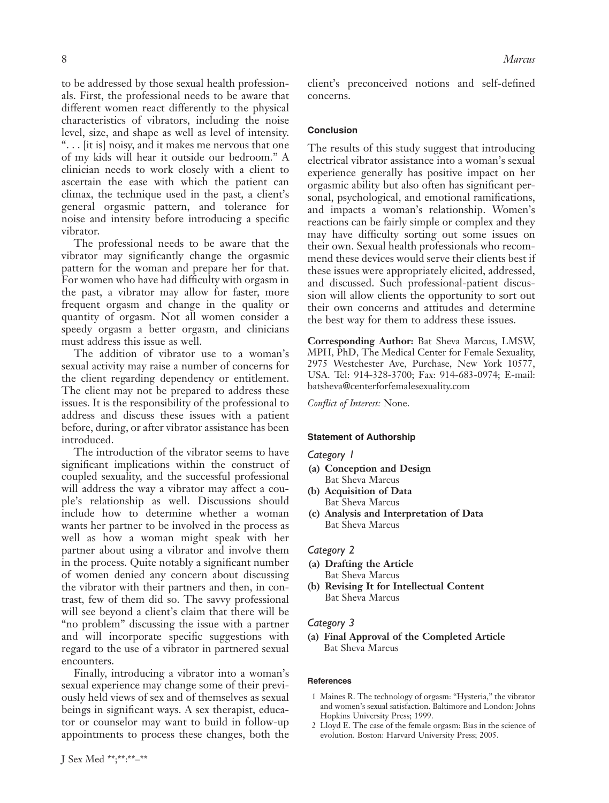to be addressed by those sexual health professionals. First, the professional needs to be aware that different women react differently to the physical characteristics of vibrators, including the noise level, size, and shape as well as level of intensity. ". . . [it is] noisy, and it makes me nervous that one of my kids will hear it outside our bedroom." A clinician needs to work closely with a client to ascertain the ease with which the patient can climax, the technique used in the past, a client's general orgasmic pattern, and tolerance for noise and intensity before introducing a specific vibrator.

The professional needs to be aware that the vibrator may significantly change the orgasmic pattern for the woman and prepare her for that. For women who have had difficulty with orgasm in the past, a vibrator may allow for faster, more frequent orgasm and change in the quality or quantity of orgasm. Not all women consider a speedy orgasm a better orgasm, and clinicians must address this issue as well.

The addition of vibrator use to a woman's sexual activity may raise a number of concerns for the client regarding dependency or entitlement. The client may not be prepared to address these issues. It is the responsibility of the professional to address and discuss these issues with a patient before, during, or after vibrator assistance has been introduced.

The introduction of the vibrator seems to have significant implications within the construct of coupled sexuality, and the successful professional will address the way a vibrator may affect a couple's relationship as well. Discussions should include how to determine whether a woman wants her partner to be involved in the process as well as how a woman might speak with her partner about using a vibrator and involve them in the process. Quite notably a significant number of women denied any concern about discussing the vibrator with their partners and then, in contrast, few of them did so. The savvy professional will see beyond a client's claim that there will be "no problem" discussing the issue with a partner and will incorporate specific suggestions with regard to the use of a vibrator in partnered sexual encounters.

Finally, introducing a vibrator into a woman's sexual experience may change some of their previously held views of sex and of themselves as sexual beings in significant ways. A sex therapist, educator or counselor may want to build in follow-up appointments to process these changes, both the

client's preconceived notions and self-defined concerns.

## **Conclusion**

The results of this study suggest that introducing electrical vibrator assistance into a woman's sexual experience generally has positive impact on her orgasmic ability but also often has significant personal, psychological, and emotional ramifications, and impacts a woman's relationship. Women's reactions can be fairly simple or complex and they may have difficulty sorting out some issues on their own. Sexual health professionals who recommend these devices would serve their clients best if these issues were appropriately elicited, addressed, and discussed. Such professional-patient discussion will allow clients the opportunity to sort out their own concerns and attitudes and determine the best way for them to address these issues.

**Corresponding Author:** Bat Sheva Marcus, LMSW, MPH, PhD, The Medical Center for Female Sexuality, 2975 Westchester Ave, Purchase, New York 10577, USA. Tel: 914-328-3700; Fax: 914-683-0974; E-mail: batsheva@centerforfemalesexuality.com

*Conflict of Interest:* None.

#### **Statement of Authorship**

#### *Category 1*

- **(a) Conception and Design** Bat Sheva Marcus
- **(b) Acquisition of Data** Bat Sheva Marcus
- **(c) Analysis and Interpretation of Data** Bat Sheva Marcus

#### *Category 2*

- **(a) Drafting the Article** Bat Sheva Marcus
- **(b) Revising It for Intellectual Content** Bat Sheva Marcus

#### *Category 3*

**(a) Final Approval of the Completed Article** Bat Sheva Marcus

#### **References**

- 1 Maines R. The technology of orgasm: "Hysteria," the vibrator and women's sexual satisfaction. Baltimore and London: Johns Hopkins University Press; 1999.
- 2 Lloyd E. The case of the female orgasm: Bias in the science of evolution. Boston: Harvard University Press; 2005.